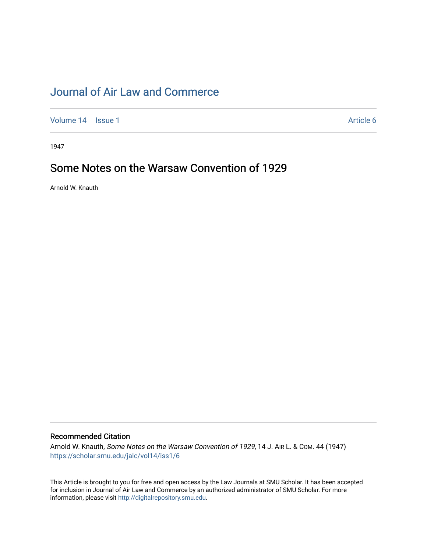## [Journal of Air Law and Commerce](https://scholar.smu.edu/jalc)

[Volume 14](https://scholar.smu.edu/jalc/vol14) | [Issue 1](https://scholar.smu.edu/jalc/vol14/iss1) Article 6

1947

# Some Notes on the Warsaw Convention of 1929

Arnold W. Knauth

### Recommended Citation

Arnold W. Knauth, Some Notes on the Warsaw Convention of 1929, 14 J. AIR L. & Com. 44 (1947) [https://scholar.smu.edu/jalc/vol14/iss1/6](https://scholar.smu.edu/jalc/vol14/iss1/6?utm_source=scholar.smu.edu%2Fjalc%2Fvol14%2Fiss1%2F6&utm_medium=PDF&utm_campaign=PDFCoverPages) 

This Article is brought to you for free and open access by the Law Journals at SMU Scholar. It has been accepted for inclusion in Journal of Air Law and Commerce by an authorized administrator of SMU Scholar. For more information, please visit [http://digitalrepository.smu.edu](http://digitalrepository.smu.edu/).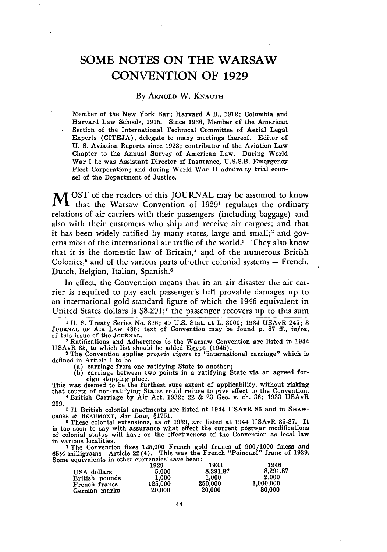### **SOME NOTES ON** THE WARSAW **CONVENTION** OF **1929**

#### **By** ARNOLD W. **KNAUTH**

Member of the New York Bar; Harvard A.B., **1912;** Columbia and Harvard Law Schools, **1915.** Since **1936,** Member of the American Section of the International Technical Committee of Aerial Legal Experts (CITEJA), delegate to many meetings thereof. Editor of **U. S.** Aviation Reports since **1928;** contributor of the Aviation Law Chapter to the Annual Survey of American Law. During World War I he was Assistant Director of Insurance, **U.S.S.B.** Emergency Fleet Corporation; and during World War II admiralty trial counsel of the Department of Justice.

M <sup>OST</sup> of the readers of this JOURNAL may be assumed to know that the Warsaw Convention of 1929' regulates the ordinary relations of air carriers with their passengers (including baggage) and also with their customers who ship and receive air cargoes; and that it has been widely ratified by many states, large and small;<sup>2</sup> and governs most of the international air traffic of the world.<sup>3</sup> They also know that it is the domestic law of Britain,<sup>4</sup> and of the numerous British Colonies,<sup>5</sup> and of the various parts of other colonial systems  $-$  French, Dutch, Belgian, Italian, Spanish.<sup>6</sup>

In effect, the Convention means that in an air disaster the air carrier is required to pay each passenger's full provable damages up to an international gold standard figure of which the 1946 equivalent in United States dollars is \$8,291;7 the passenger recovers up to this sum

**1** U. S. Treaty Series No. 876; 49 U.S. Stat. at L. 3000; 1934 USAvR 245; 3 **JOURNAL** OF **AIR** LAW 486; text of Convention may be found p. 87 ff., *infra,* of this issue of the **JOURNAL.**

2 Ratifications and Adherences to the Warsaw Convention are listed in 1944 USAvR **85,** to which list should be added Egypt (1945). **3** The Convention applies *proprio vigore* to "international carriage" which is

defined in Article 1 to be

- (a) carriage from one ratifying State to another;
- **(b)** carriage between two points in a ratifying State via an agreed foreign stopping place.<br>This was deemed to be the furthest sure extent of applicability, without risking

that courts of non-ratifying States could refuse to give effect to the Convention. **4** British Carriage by Air Act, 1932; 22 & 23 Geo. v. ch. 36; 1933 USAvR 299.

**5** 71 British colonial enactments are listed at 1944 USAvR **86** and in SHAW**cROSS** & **BEAUMONT,** *Air Law,* §1751. **0** These colonial extensions, as of 1939, are listed at 1944 USAvR **85-87.** It

is too soon to say with assurance what effect the current postwar modifications of colonial status will have on the effectiveness of the Convention as local law in various localities. **7** The Convention fixes 125,000 French gold francs of 900/1000 finess and

 $65\frac{1}{2}$  milligrams-Article 22(4). This was the French "Poincaré" franc of 1929. Some equivalents in other currencies have been:

|                | 1929    | 1933     | 1946      |
|----------------|---------|----------|-----------|
| USA dollars    | 5.000   | 8,291.87 | 8,291.87  |
| British pounds | 1.000   | 1.000    | 2.000     |
| French francs  | 125,000 | 250,000  | 1,000,000 |
| German marks   | 20.000  | 20,000   | 80,000    |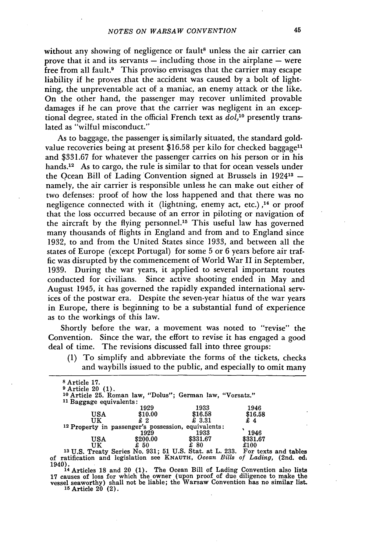without any showing of negligence or fault<sup>8</sup> unless the air carrier can prove that it and its servants  $-$  including those in the airplane  $-$  were free from all fault.<sup>9</sup> This proviso envisages that the carrier may escape liability if he proves that the accident was caused by a bolt of lightning, the unpreventable act of a maniac, an enemy attack or the like. On the other hand, the passenger may recover unlimited provable damages if he can prove that the carrier was negligent in an exceptional degree, stated in the official French text as *dol,'0* presently translated as "wilful misconduct."

As to baggage, the passenger is similarly situated, the standard goldvalue recoveries being at present  $$16.58$  per kilo for checked baggage<sup>11</sup> and \$331.67 for whatever the passenger carries on his person or in his hands.<sup>12</sup> As to cargo, the rule is similar to that for ocean vessels under the Qcean Bill of Lading Convention signed at Brussels in 192413  namely, the air carrier is responsible unless he can make out either of two defenses: proof of how the loss happened and that there was no negligence connected with it (lightning, enemy act, etc.) **14** or proof that the loss occurred because of an error in piloting or navigation of the aircraft by the flying personnel." This useful law has governed many thousands of flights in England and from and to England since 1932, to and from the United States since 1933, and between all the states of Europe (except Portugal) for some 5 or 6 years before air traffic was disrupted by the commencement of World War II in September, 1939. During the war years, it applied to several important routes conducted for civilians. Since active shooting ended in May and August 1945, it has governed the rapidly expanded international services of the postwar era. Despite the seven-year hiatus of the war years in Europe, there is beginning to be a substantial fund of experience as to the workings of this law.

Shortly before the war, a movement was noted to "revise" the Convention. Since the war, the effort to revise it has engaged a good deal of time. The revisions discussed fall into three groups:

**(1)** To simplify and abbreviate the forms of the tickets, checks and waybills issued to the public, and especially to omit many

| <sup>8</sup> Article 17.<br>$9$ Article 20 $(1)$ .             |          | <sup>10</sup> Article 25. Roman law, "Dolus"; German law, "Vorsatz."                    |          |  |
|----------------------------------------------------------------|----------|-----------------------------------------------------------------------------------------|----------|--|
| <sup>11</sup> Baggage equivalents:                             |          |                                                                                         |          |  |
|                                                                | 1929     | 1933                                                                                    | 1946     |  |
| USA                                                            | \$10.00  | \$16.58                                                                                 | \$16.58  |  |
| UK                                                             | £2       | £ 3.31                                                                                  |          |  |
| <sup>12</sup> Property in passenger's possession, equivalents: |          |                                                                                         |          |  |
|                                                                | 1929     | 1933                                                                                    | 1946     |  |
| USA                                                            | \$200.00 | \$331.67                                                                                | \$331.67 |  |
| UK                                                             | £ 50     | £ 80                                                                                    | £100     |  |
|                                                                |          | <sup>13</sup> U.S. Treaty Series No. 931; 51 U.S. Stat. at L. 233. For texts and tables |          |  |

of ratification and legislation see **KNAUTH,** *Ocean Bills of Lading,* (2nd. ed. 1940).**14** Articles **18** and 20 (1). The Ocean Bill of Lading Convention also lists

**17** causes of loss for which the owner (upon proof of due diligence to make the vessel seaworthy) shall not be liable; the Warsaw Convention has no similar list. **15** Article 20 (2).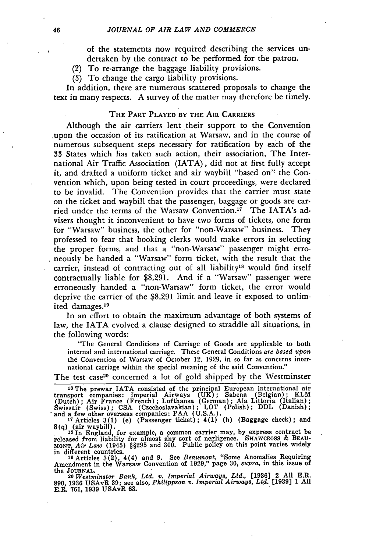of the statements now required describing the services undertaken **by** the contract to be performed for the patron.

- (2) To re-arrange the baggage liability provisions.
- **(3)** To change the cargo liability provisions.

In addition, there are numerous scattered proposals to change the text in many respects. **A** survey of the matter may therefore be timely.

#### **THE PART** PLAYED **BY** THE **AIR CARRIERS**

Although the air carriers lent their support to the Convention ,upon the occasion of its ratification at Warsaw, and in the course of numerous subsequent steps necessary for ratification by each of the **33** States which has taken such action, their association, The International Air Traffic Association (IATA), did not at first fully accept it, and drafted a uniform ticket and air waybill "based on" the Convention which, upon being tested in court proceedings, were declared to be invalid. The Convention provides that the carrier must state on the ticket and waybill that the passenger, baggage or goods are carried under the terms of the Warsaw Convention.<sup>17</sup> The IATA's advisers thought it inconvenient to have two forms of tickets, one form for "Warsaw" business, the other for "non-Warsaw" business. They professed to fear that booking clerks would make errors in selecting the proper forms, and that a "non-Warsaw" passenger might erroneously be handed a "Warsaw" form ticket, with the result that the carrier, instead of contracting out of all liability<sup>18</sup> would find itself contractually liable for \$8,291. And if a "Warsaw" passenger were erroneously handed a "non-Warsaw" form ticket, the error would deprive the carrier of the \$8,291 limit and leave it exposed to unlimited damages.<sup>19</sup>

In an effort to obtain the maximum advantage of both systems of law, the IATA evolved a clause designed to straddle all situations, in the following words:

"The General Conditions of Carriage of Goods are applicable to both internal and international carriage. These General Conditions *are based upon* the Convention of Warsaw of October 12, 1929, in so far as concerns international carriage within the special meaning of the said Convention."

The test case<sup>20</sup> concerned a lot of gold shipped by the Westminster

**8(q)** (air waybill). **Is** In England, for example, a common carrier may, by express contract be

released from liability for almost any sort of negligence. SHAWCROSS & BEAU-MONT, *Air Law* (1945) §§295 and 300. Public policy on this point varies widely in different countries.

**<sup>10</sup>**Articles 3(2), 4(4) and 9. See *Beaumont,* "Some Anomalies Requiring Amendment in the Warsaw Convention of 1929," page 30, *supra,* in this issue of the **JOURNAL.**

**<sup>20</sup>***Westminster Bank, Ltd. v. Imperial Airways, Ltd.,* [19361 2 All E.R. 890, 1936 USAvR 39; see also, *Philippson v. Imperial Airways, Ltd.* [1939] 1 **All** E.R. 761, 1939 USAvR 63.

**<sup>18</sup>**The prewar IATA consisted of the principal European international air transport companies: Imperial Airways **(UK);** Sabena (Belgian); KLM (Dutch); Air France (French); Lufthansa (German); Ala Littoria (Italian); Swissair (Swiss); CSA (Czechoslavakian); LOT (Polish); DDL (Danish);<br>
and a few other overseas companies: PAA (U.S.A.).<br>
<sup>17</sup> Articles 3(1) (e) (Passenger ticket); 4(1) (h) (Baggage check); and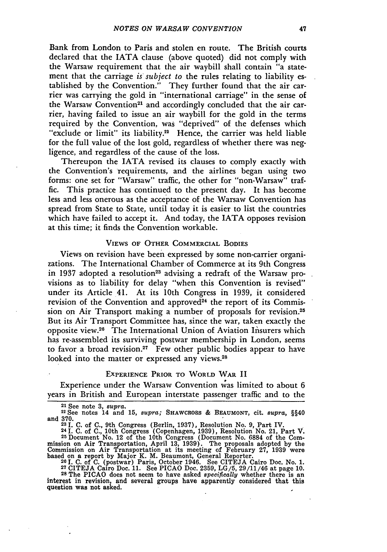Bank from London to Paris and stolen en route. The British courts declared that the IATA clause (above quoted) did not comply with the Warsaw requirement that the air waybill shall contain "a statement that the carriage *is subject to* the rules relating to liability established by the Convention." They further found that the air carrier was carrying the gold in "international carriage" in the sense of the Warsaw Convention<sup>21</sup> and accordingly concluded that the air carrier, having failed to issue an air waybill for the gold in the terms required by the Convention, was "deprived" of the defenses which "exclude or limit" its liability.<sup>22</sup> Hence, the carrier was held liable for the full value of the lost gold, regardless of whether there was negligence, and regardless of the cause of the loss.

Thereupon the IATA revised its clauses to comply exactly with the Convention's requirements, and the airlines began using two forms: one set for "Warsaw" traffic, the other for "non-Warsaw" traffic. This practice has continued to the present day. It has become less and less onerous as the acceptance of the Warsaw Convention has spread from State to State, until today it is easier to list the countries which have failed to accept it. And today, the IATA opposes revision at this time; it finds the Convention workable.

#### **VIEWS OF** OTHER **COMMERCIAL BODIES**

Views on revision have been expressed by some non-carrier organizations. The International Chamber of Commerce at its 9th Congress in 1937 adopted a resolution<sup>23</sup> advising a redraft of the Warsaw provisions as to liability for delay "when this Convention is revised" under its Article 41. At its 10th Congress in 1939, it considered revision of the Convention and approved<sup>24</sup> the report of its Commission on Air Transport making a number of proposals for revision.<sup>25</sup> But its Air Transport Committee has, since the war, taken exactly the opposite view.<sup>26</sup> The International Union of Aviation Insurers which has re-assembled its surviving postwar membership in London, seems to favor a broad revision.<sup>27</sup> Few other public bodies appear to have looked into the matter or expressed any views.<sup>28</sup>

#### EXPERIENCE PRIOR TO WORLD WAR II

Experience under the Warsaw Convention was limited to about 6 years in British and European interstate passenger traffic and to the

370.<br>22 I. C. of C., 9th Congress (Berlin, 1937), Resolution No. 9, Part IV.<br>24 I. C. of C., 10th Congress (Copenhagen, 1939), Resolution No. 21, Part V.<br>25 Document No. 12 of the 10th Congress (Document No. 6884 of the Co mission on Air Transportation, April 13, 1939). The proposals adopted by the Commission on Air Transportation at its meeting of February 27, 1939 were<br>based on a report by Major K. M. Beaumont, General Reporter.<br><sup>20</sup> I. C. of C. (postwar) Paris. October 1946. See CITEJA Cairo Doc. No. 1.

**<sup>27</sup>**CITEJA Cairo Doc. 11. See PICAO Doc. 2359, LG/5, 29/11/46 at page 10. **<sup>28</sup>**The PICAO does not seem to have asked *specifically* whether there is an interest in revision, and several groups have apparently considered that this question was not asked.

**<sup>21</sup>**See note **3,** *supra.* **<sup>22</sup>**See notes **14** and **15,** *supra;* **SHAWCROSS & BEAUMONT,** cit. *supra,* §§40 and 370.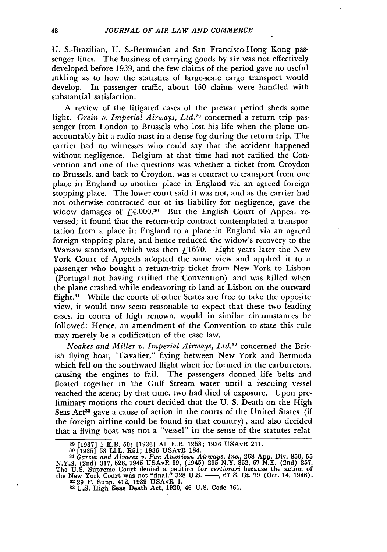U. S.-Brazilian, U. S.-Bermudan and San Francisco-Hong Kong passenger lines. The business of carrying goods by air was not effectively developed before 1939, and the few claims of the period gave no useful inkling as to how the statistics of large-scale cargo transport would develop. In passenger traffic, about 150 claims were handled with substantial satisfaction.

A review of the litigated cases of the prewar period sheds some light. *Grein v. Imperial Airways, Ltd.29* concerned a return trip passenger from London to Brussels who lost his life when the plane unaccountably hit a radio mast in a dense fog during the return trip. The carrier had no witnesses who could say that the accident happened without negligence. Belgium at that time had not ratified the Convention and one of the questions was whether a ticket from Croydon to Brussels, and back to Croydon, was a contract to transport from one place in England to another place in England via an agreed foreign stopping place. The lower court said it was not, and as the carrier had not otherwise contracted out of its liability for negligence, gave the widow damages of  $f_14,000$ .<sup>30</sup> But the English Court of Appeal reversed; it found that the return-trip contract contemplated a transportation from a place in England to a place-in England via an agreed foreign stopping place, and hence reduced the widow's recovery to the Warsaw standard, which was then  $f$ 1670. Eight years later the New York Court of Appeals adopted the same view and applied it to a passenger who bought a return-trip ticket from New York to Lisbon (Portugal not having ratified the Convention) and was killed when the plane crashed while endeavoring to land at Lisbon on the outward flight.<sup>31</sup> While the courts of other States are free to take the opposite view, it would now seem reasonable to expect that these two leading cases, in courts of high renown, would in similar circumstances be followed: Hence, an amendment of the Convention to state this rule may merely be a codification of the case law.

*Noakes and Miller v. Imperial Airways, Ltd.*<sup>32</sup> concerned the British flying boat, "Cavalier," flying between New York and Bermuda which fell on the southward flight when ice formed in the carburetors, causing the engines to fail. The passengers donned life belts and floated together in the Gulf Stream water until a rescuing vessel reached the scene; by that time, two had died of exposure. Upon preliminary motions the court decided that the U. S. Death on the High Seas Act<sup>33</sup> gave a cause of action in the courts of the United States (if the foreign airline could be found in that country), and also decided that a flying boat was not a "vessel" in the sense of the statutes relat-

 $\overline{\mathbf{A}}$ 

**<sup>29</sup>**[1937] 1 K.B. 50; [1936] All E.R. 1258; 1936 USAvR 211.

**<sup>30</sup>** [1935] **53** LI.L. R51; 1936 USAvR 184. *<sup>31</sup>Garcia and Alvarez v. Pan American Airways, Inc.,* **268** App. Div. **850, 55** N.Y.S. (2nd) **317,** 526, 1945 USAvR 39, (1945) 295 N.Y. 852, **67** N.E. (2nd) **257.** The U.S. Supreme Court denied a petition for *certiorari* because the action of the New York Court was not "final," **328** U.S. **- ,** 67 S. Ct. **79** (Oct. 14, 1946). **<sup>32</sup>**29 F. Supp. 412, 1939 USAvR 1.

**s8** U.S. High Seas Death Act, 1920, 46 U.S. Code 761.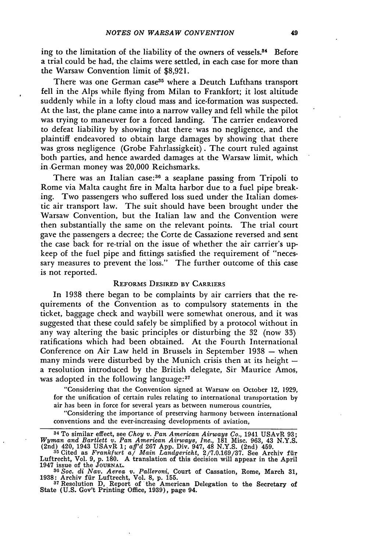ing to the limitation of the liability of the owners of vessels.<sup>34</sup> Before a trial could be had, the claims were settled, in each case for more than the Warsaw Convention limit of \$8,921.

There was one German case<sup>35</sup> where a Deutch Lufthans transport fell in the Alps while flying from Milan to Frankfort; it lost altitude suddenly while in a lofty cloud mass and ice-formation was suspected. At the last, the plane came into a narrow valley and fell while the pilot was trying to maneuver for a forced landing. The carrier endeavored to defeat liability by showing that there was no negligence, and the plaintiff endeavored to obtain large damages by showing that there was gross negligence (Grobe Fahrlassigkeit). The court ruled against both parties, and hence awarded damages at the Warsaw limit, which in German money was 20,000 Reichsmarks.

There was an Italian case:<sup>36</sup> a seaplane passing from Tripoli to Rome via Malta caught fire in Malta harbor due to a fuel pipe breaking. Two passengers who suffered loss sued under the Italian domestic air transport law. The suit should have been brought under the Warsaw Convention, but the Italian law and the Convention were then substantially the same on the relevant points. The trial court gave the passengers a decree; the Corte de Cassazione reversed and sent the case back for re-trial on the issue of whether the air carrier's upkeep of the fuel pipe and fittings satisfied the requirement of "necessary measures to prevent the loss." The further outcome of this case is not reported.

#### REFORMS DESIRED BY CARRIERS

In 1938 there began to be complaints by air carriers that the requirements of the Convention as to compulsory statements in the ticket, baggage check and waybill were somewhat onerous, and it was suggested that these could safely be simplified by a protocol without in any way altering the basic principles or disturbing the 32 (now 33) ratifications which had been obtained. At the Fourth International Conference on Air Law held in Brussels in September 1938 **-** when many minds were disturbed by the Munich crisis then at its height  $$ a resolution introduced by the British delegate, Sir Maurice Amos, was adopted in the following language:<sup>37</sup>

"Considering that the Convention signed at Warsaw on October 12, 1929, for the unification of certain rules relating to international transportation by air has been in force for several years as between numerous countries,

"Considering the importance of preserving harmony between international conventions and the ever-increasing developments of aviation,

1941 ISSNe 01 the JOURNAL.<br>
36 Soc. di Nav. Aerea v. Palleroni, Court of Cassation, Rome, March 31<br>
1938: Archiv für Luftrecht, Vol. 8, p. 155.<br>
37 Resolution D, Report of the American Delegation to the Secretary of<br>
State

<sup>34</sup> To similar effect, see *Choy v. Pan American Airways Co.,* 1941 USAvR 93; Wyman and Bartlett v. Pan American Airways, Inc., 181 Misc. 963, 43 N.Y.S.<br>(2nd) 420, 1943 USAvR 1; aff'd 267 App. Div. 947, 48 N.Y.S. (2nd) 459.<br><sup>35</sup> Cited as Frankfurt a/ Main Landgericht, 2/7.0.169/37. See Archiv für

Luftrecht, Vol. 9, p. 180. A translation of this decision will appear in the April 1947 issue of the **JOURNAL.**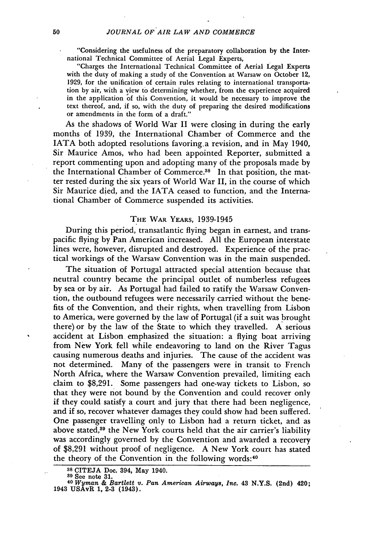"Considering the usefulness of the preparatory collaboration **by** the International Technical Committee of Aerial Legal Experts,

"Charges the International Technical Committee of Aerial Legal Experts with the duty of making a study of the Convention at Warsaw on October 12, **1929,** for the unification of certain rules relating to international transportation **by** air, with a view to determining whether, from the experience acquired in the application **of** this Convention, it would be necessary to improve the text thereof, and, if so, with the duty of preparing the desired modifications or amendments in the form of a draft."

As the shadows of World War II were closing in during the early months of **1939,** the International Chamber of Commerce and the **IATA** both adopted resolutions favoring.a revision, and in May 1940, Sir Maurice Amos, who had been appointed Reporter, submitted a report commenting upon and adopting many of the proposals made **by** the International Chamber of Commerce.<sup>38</sup> In that position, the matter rested during the six years of World War II, in the course of which Sir Maurice died, and the **IATA** ceased to function, and the International Chamber of Commerce suspended its activities.

#### THE WAR YEARS, **1939-1945**

During this period, transatlantic flying began in earnest, and transpacific flying **by** Pan American increased. **All** the European interstate lines were, however, disrupted and destroyed. Experience of the practical workings of the Warsaw Convention was in the main suspended.

The situation of Portugal attracted special attention because that neutral country became the principal outlet of numberless refugees **by** sea or **by** air. As Portugal had failed to ratify the Warsaw Convention, the outbound refugees were necessarily carried without the benefits of the Convention, and their rights, when travelling from Lisbon to America, were governed **by** the law of Portugal (if a suit was brought there) or **by** the law of the State to which they travelled. **A** serious accident at Lisbon emphasized the situation: a flying boat arriving from New York fell while endeavoring to land on the River Tagus causing numerous deaths and injuries. The cause of the accident was not determined. Many of the passengers were in transit to French North Africa, where the Warsaw Convention prevailed, limiting each claim to **\$8,291.** Some passengers had one-way tickets to Lisbon, so that they were not bound **by** the Convention and could recover only if they could satisfy a court and jury that there had been negligence, and if so, recover whatever damages they could show had been suffered. One passenger travelling only to Lisbon had a return ticket, and as above stated,<sup>39</sup> the New York courts held that the air carrier's liability was accordingly governed by the Convention and awarded a recovery of \$8,291 without proof of negligence. A New York court has stated the theory of the Convention in the following words:<sup>40</sup>

**<sup>38</sup> CITEJA** Doe. 394, May 1940.

**<sup>89</sup>**See note **31,** <sup>40</sup>*Wyman & Bartlett v. Pan American Airways, Inc.* 43 **N.Y.S.** (2nd) 420; 1943 USAvR 1, **2-3** (1943).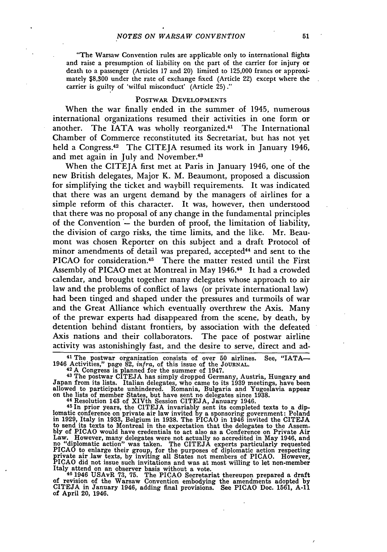"The Warsaw Convention rules are applicable only to international flights and raise a presumption of liability on the part of the carrier for injury or death to a passenger (Articles 17 and 20) limited to 125,000 francs or approximately \$8,300 under the rate of exchange fixed (Article 22) except where the carrier is guilty of 'wilful misconduct' (Article **25)."**

#### POSTWAR DEVELOPMENTS

When the war finally ended in the summer of 1945, numerous international organizations resumed their activities in one form or another. The IATA was wholly reorganized.<sup>41</sup> The International Chamber of Commerce reconstituted its Secretariat, but has not yet held a Congress.<sup>42</sup> The CITEJA resumed its work in January 1946, and met again in July and November.<sup>43</sup>

When the CITEJA first met at Paris in January 1946, one of the new British delegates, Major K. M. Beaumont, proposed a discussion for simplifying the ticket and waybill requirements. It was indicated that there was an urgent demand by the managers of airlines for a simple reform of this character. It was, however, then understood that there was no proposal of any change in the fundamental principles of the Convention  $-$  the burden of proof, the limitation of liability, the division of cargo risks, the time limits, and the like. Mr. Beaumont was chosen Reporter on this subject and a draft Protocol of minor amendments of detail was prepared, accepted<sup>44</sup> and sent to the PICAO for consideration.<sup>45</sup> There the matter rested until the First Assembly of PICAO met at Montreal in May 1946.40 It had a crowded calendar, and brought together many delegates whose approach to air law and the problems of conflict of laws (or private international law) had been tinged and shaped under the pressures and turmoils of war and the Great Alliance which eventually overthrew the Axis. Many of the prewar experts had disappeared from the scene, by death, by detention behind distant frontiers, by association with the defeated Axis nations and their collaborators. The pace of postwar airline activity was astonishingly fast, and the desire to serve, direct and ad-

**41** The postwar organization consists of over **50** airlines. See, "IATA-1946 Activities," page 82, *infra,* of this issue of the **JOURNAL. <sup>42</sup>**A Congress is planned for the summer of 1947.

**<sup>43</sup>**The postwar CITEJA has simply dropped Germany, Austria, Hungary and Japan from its lists. Italian delegates, who came to its 1939 meetings, have been allowed to participate unhindered. Romania, Bulgaria and Yugoslavia appear on the lists of member States, but have sent no delegates since 1938. **<sup>44</sup>**Resolution 143 of XIVth Session CITEJA, January 1946.

10 In prior years, the CITEJA invariably sent its completed texts to a dip- lomatic conference on private air law invited by a sponsoring government: Poland in 1929, Italy in 1933, Belgium in 1938. The PICAO in 1946 invided the CITEJA<br>to send its texts to Montreal in the expectation that the delegates to the Assem-<br>hly of PICAO would have credentials to act also as a Conferenc PICAO did not issue such invitations and was at most willing to let non-member Italy attend on an observer basis without a vote. **<sup>40</sup>**1946 USAvR **73, 75.** The PICAO Secretariat thereupon prepared a draft

of revision of the Warsaw Convention embodying the amendments adopted by CITEJA in January 1946, adding final provisions. See PICAO Doc. **1561, A-11** of April 20, 1946.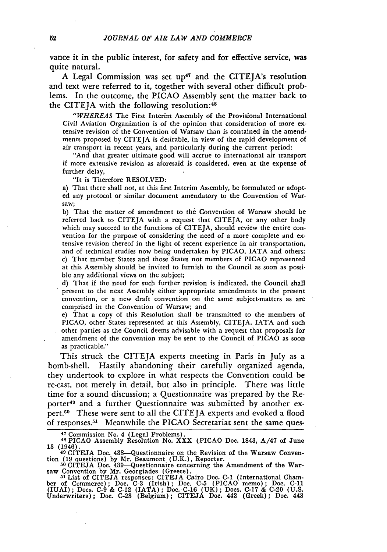vance it in the public interest, for safety and for effective service, was quite natural.

A Legal Commission was set up<sup>47</sup> and the CITEJA's resolution and text were referred to it, together with several other difficult problems. In the outcome, the **PICAO** Assembly sent the matter back to the CITEJA with the following resolution:<sup>48</sup>

*"WHEREAS* The First Interim Assembly of the Provisional International Civil Aviation Organization is of the opinion that consideration of more extensive revision of the Convention of Warsaw than is contained in the amendments proposed by CITEJA is desirable, in view of the rapid development of air transport in recent years, and particularly during the current period:

"And that greater ultimate good will accrue to international air transport if more extensive revision as aforesaid is considered, even at the expense of further delay,

"It is Therefore RESOLVED:

a) That there shall not, at this first Interim Assembly, be formulated or adopted any protocol or similar document amendatory to the Convention of Warsaw;

b) That the matter of amendment to the Convention of Warsaw should be referred back to CITEJA with a request that CITEJA, or any other body which may succeed to the functions of CITEJA, should review the entire convention for the purpose of considering the need of a more complete and extensive revision thereof in the light of recent experience in air transportation, and of technical studies now being undertaken by PICAO, IATA and others; c) That member States and those States not members of PICAO represented at this Assembly should be invited to furnish to the Council as soon as possible any additional views on the subject;

d) That if the need for such further revision is indicated, the Council shall present to the next Assembly either appropriate amendments to the present convention, or a new draft convention on the same subject-matters as are comprised in the Convention of Warsaw; and

e) That a copy of this Resolution shall be transmitted to the members of PICAO, other States represented at this Assembly, CITEJA, IATA and such other parties as the Council deems advisable with a request that proposals for amendment of the convention may be sent to the Council of **PICAO** as soon as practicable."

This struck the CITEJA experts meeting in Paris in July as a bomb-shell. Hastily abandoning their carefully organized agenda, they undertook to explore in what respects the Convention could be re-cast, not merely in detail, but also in principle. There was little time for a sound discussion; a Questionnaire was 'prepared by the Reporter<sup>40</sup> and a further Questionnaire was submitted by another expert.50 These were sent to all the CITEJA experts and evoked a flood of responses. 51 Meanwhile the **PICAO** Secretariat sent the same ques-

47 Commission No. 4 (Legal Problems). **<sup>48</sup>**PICAO Assembly Resolution No. XXX (PICAO Doc. 1843, A/47 of June 13 (1946).

**40** CITEJA Doc. 438-Questionnaire on the Revision of the Warsaw Convention (19 questions) by Mr. Beaumont (U.K.), Reporter.<br>
<sup>50</sup> CITEJA Doc. 439-Questionnaire concerning the Amendment of the War-

saw Convention by Mr. Georgiades (Greece).<br>
<sup>51</sup> List of CITEJA responses: CITEJA Cairo Doc. C-1 (International Cham-<br>
ber of Commerce); Doc. C-3 (Irish); Doc. C-5 (PICAO memo); Doc. C-11<br>
(IUAI); Docs. C-9 & C-12 (IATA); Underwriters); Doc. C-23 (Belgium); CITEJA Doc. 442 (Greek); Doc. 443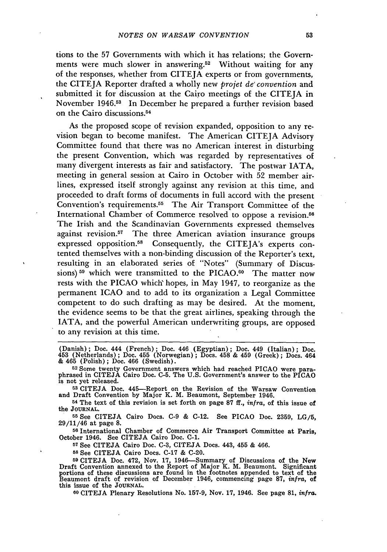tions to the 57 Governments with which it has relations; the Governments were much slower in answering.<sup>52</sup> Without waiting for any of the responses, whether from CITEJA experts or from governments, the CITEJA Reporter drafted a wholly new *projet de' convention* and submitted it for discussion at the Cairo meetings of the CITEIA in November 1946.<sup>53</sup> In December he prepared a further revision based on the Cairo discussions. <sup>54</sup>

As the proposed scope of revision expanded, opposition to any revision began to become manifest. The American CITEJA Advisory Committee found that there was no American interest in disturbing the present Convention, which was regarded by representatives of many divergent interests as fair and satisfactory. The postwar IATA, meeting in general session at Cairo in October with 52 member airlines, expressed itself strongly against any revision at this time, and proceeded to draft forms of documents in full accord with the present Convention's requirements.55 The Air Transport Committee of the International Chamber of Commerce resolved to oppose a revision.<sup>56</sup> The Irish and the Scandinavian Governments expressed themselves against revision.57 The three American aviation insurance groups expressed opposition.<sup>58</sup> Consequently, the CITEJA's experts contented themselves with a non-binding discussion of the Reporter's text, resulting in an elaborated series of "Notes" (Summary of Discussions)<sup>59</sup> which were transmitted to the PICAO.<sup>60</sup> The matter now rests with the PICAO which' hopes, in May 1947, to reorganize as the permanent ICAO and to add to its organization a Legal Committee competent to do such drafting as may be desired. At the moment, the evidence seems to be that the great airlines, speaking through the IATA, and the powerful American underwriting groups, are opposed to any revision at this time.

**<sup>53</sup>**CITEJA Doe. 445-Report on the Revision of the Warsaw Convention and Draft Convention by Major K. M. Beaumont, September 1946.

**<sup>54</sup>**The text of this revision is set forth on page **87** ff., *infra,* of this issue of the **JOURNAL.**

**<sup>55</sup>**See CITEJA Cairo Does. **C-9 & C-12.** See PICAO Doe. **2359, LG/5,** 29/11/46 at page **8.**

**<sup>56</sup>**International Chamber of Commerce Air Transport Committee at Paris, October 1946. See CITEJA Cairo Doc. **C-1.**

**<sup>57</sup>**See CITEJA Cairo Doe. **C-3, CITEJA** Does. 443, 455 **&** 466.

**<sup>58</sup>**See **CITEJA** Cairo Does. **C-17** & **C-20.**

<sup>59</sup> CITEJA Doc. 472, Nov. 17, 1946—Summary of Discussions of the New<br>Draft Convention annexed to the Report of Major K. M. Beaumont. Significant<br>portions of these discussions are found in the footnotes appended to text of Beaumont draft of revision of December 1946, commencing page **87,** *infra,* of this issue of the **JOURNAL.**

**60 CITEJA** Plenary Resolutions No. **157-9,** Nov. **17,** 1946. See page **81,** *infra.*

<sup>(</sup>Danish); Doe. 444 (French); Doe. 446 (Egyptian); Doc. 449 (Italian); Doc. 453 (Netherlands); Doc. 455 (Norwegian); Does. 458 & 459 (Greek); Does. 464 & 465 (Polish); Doc. 466 (Swedish).

<sup>52</sup> Some twenty Government answers which had reached PICAO were paraphrased in CITEJA Cairo Doe. C-5. The U.S. Government's answer to the PICAO is not yet released.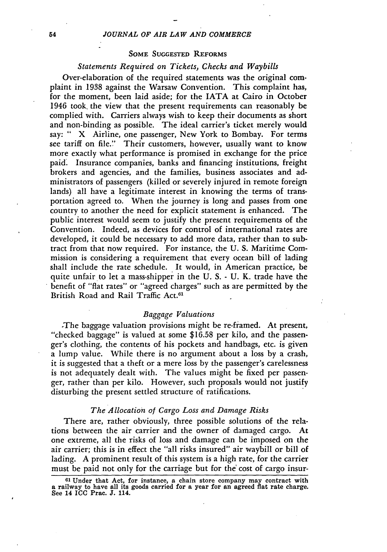#### **SOME SUGGESTED REFORMS**

#### *Statements Required on Tickets, Checks and Waybills*

Over-elaboration of the required statements was the original complaint in 1938 against the Warsaw Convention. This complaint has, for the moment, been laid aside; for the IATA at Cairo in October 1946 took, the view that the present requirements can reasonably be complied with. Carriers always wish to keep their documents as short and non-binding as possible. The ideal carrier's ticket merely would say: " X Airline, one passenger, New York to Bombay. For terms see tariff on file." Their customers, however, usually want to know more exactly what performance is promised in exchange for the price paid' Insurance companies, banks and financing institutions, freight brokers and agcncies, and the families, business associates and administrators of passengers (killed or severely injured in remote foreign lands) all have a legitimate interest in knowing the terms of transportation agreed to. When the journey is long and passes from one country to another the need for explicit statement is enhanced. The public interest would seem to justify the present requirements of the Convention. Indeed, as devices for control of international rates are developed, it could be necessary to add more data, rather than to subtract from that now required. For instance, the U. S. Maritime Commission is considering a requirement that every ocean bill of lading shall include the rate schedule. It would, in American practice, be quite unfair to let a mass-shipper in the U. S. - U. K. trade have the benefit of "flat rates" or "agreed charges" such as are permitted by the British Road and Rail Traffic Act.<sup>61</sup>

#### *Baggage Valuations*

-The baggage valuation provisions might be re-fiamed. At present, "checked baggage" is valued at some \$16.58 per kilo, and the passenger's clothing, the contents of his pockets and handbags, etc. is given a lump value. While there is no argument about a loss by a crash, it is suggested that a theft or a mere loss by the passenger's carelessness is not adequately dealt with. The values might be fixed per passenger, rather than per kilo. However, such proposals would not justify disturbing the present settled structure of ratifications.

#### *The Allocation of Cargo Loss and Damage Risks*

There are, rather obviously, three possible solutions of the relations between the air carrier and the owner of damaged cargo. At one extreme, all the risks of loss and damage can be imposed on the air carrier; this is in effect the "all risks insured" air waybill or bill of lading. A prominent result of this system is a high rate, for the carrier must be paid not only for the carriage but for the' cost of cargo insur-

**<sup>61</sup>**Under that Act, for instance, a chain store company may contract with a railway to have all its goods carried for a year for an agreed flat rate charge. See 14 **ICC** Prac. **J.** 114.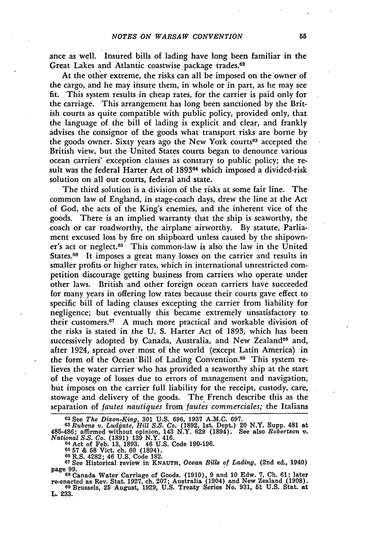ance as well. Insured bills of lading have long been familiar in the Great Lakes and Atlantic coastwise package trades.<sup>62</sup>

At the other extreme, the risks can all be imposed on the owner of the cargo, and he may insure them, in whole or in part, as he may see **fit.** This system results in cheap rates, for the carrier is paid only for the carriage. This arrangement has long been sanctioned **by** the British courts as quite compatible with public policy, provided only, that the language of the bill of lading is explicit and clear, and frankly advises the consignor of the goods what transport risks are borne **by** the goods owner. Sixty years ago the New York courts<sup>63</sup> accepted the British view, but the United States courts began to denounce various ocean carriers' exception clauses as contrary to public policy; the result was the federal Harter Act of 1893<sup>64</sup> which imposed a divided-risk solution on all our courts, federal and state.

The third solution is a division of the risks at some fair line. The common law of England, in stage-coach days, drew the line at the Act of God, the acts of the King's enemies, and the inherent vice of the goods. There is an implied warranty that the ship is seaworthy, the coach or car roadworthy, the airplane airworthy. By statute, Parliament excused loss by fire on shipboard unless caused by the shipowner's act or neglect.<sup>65</sup> This common-law is also the law in the United States.<sup>66</sup> It imposes a great many losses on the carrier and results in smaller profits or higher rates, which in international unrestricted competition discourage getting business from carriers who operate under other laws. British and other foreign ocean carriers have succeeded for many years in offering low rates because their courts gave effect to specific bill of lading clauses excepting the carrier from liability for negligence; but eventually this became extremely unsatisfactory to their customers. 67 A much more practical and workable division of the risks is stated in the U. S. Harter Act of 1893, which has been successively adopted by Canada, Australia, and New Zealand<sup>68</sup> and, after 1924, spread over most of the world (except Latin America) in the form of the Ocean'Bill of Lading Convention. 69 This system relieves the water carrier who has provided a seaworthy ship at the start of the voyage of losses due to errors of management and navigation, but imposes on the carrier full liability for the receipt, custody, care, stowage and delivery of the goods. The French describe this as the separation of *fautes nautiques* from *fautes commerciales;* the Italians

**<sup>62</sup>**See *The Dixon-King,* **301 U.S. 696, 1937 A.M.C. 697. <sup>63</sup>***Rubens v. Ludjate, Hill S.S. Co.* **(1892,** 1st. Dept.) 20 N.Y. Supp. 481 at 485-486; affirmed without opinion, 143 N.Y. 629 (1894). See also Robertson v<br>National S.S. Co. (1891) 139 N.Y. 416.<br><sup>64</sup> Act of Feb. 13, 1893. 46 U.S. Code 190-196.<br><sup>65</sup> 57 & 58 Vict. ch. 60 (1894).

**66** R.S. 4282; 46 **U.S.** Code **182. <sup>67</sup>**See Historical review in **KNAUTH,** *Ocean Bills of Lading,* (2nd ed., 1940) page **99.**

**<sup>68</sup>**Canada Water Carriage of Goods. **(1910), 9** and **10** Edw. **7, Ch. 61;** later re-enacted as Rev. Stat. **1927,** ch. **207;** Australia (1904) and New Zealand **(1908). <sup>69</sup>**Brussels, **25** August, **1929, U.S.** Treaty Series No. **931, 51 U.S.** Stat. at

**L. 233.**